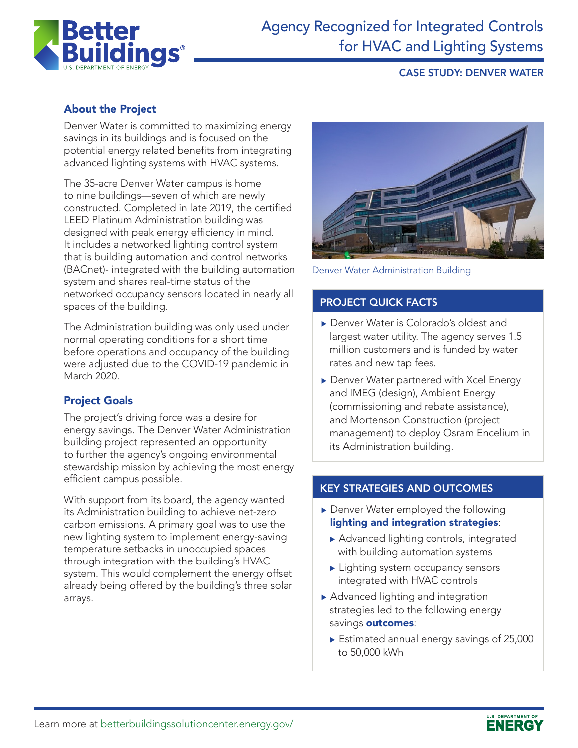

# Agency Recognized for Integrated Controls for HVAC and Lighting Systems

## CASE STUDY: DENVER WATER

## About the Project

Denver Water is committed to maximizing energy savings in its buildings and is focused on the potential energy related benefits from integrating advanced lighting systems with HVAC systems.

The 35-acre Denver Water campus is home to nine buildings—seven of which are newly constructed. Completed in late 2019, the certified LEED Platinum Administration building was designed with peak energy efficiency in mind. It includes a networked lighting control system that is building automation and control networks (BACnet)- integrated with the building automation system and shares real-time status of the networked occupancy sensors located in nearly all spaces of the building.

The Administration building was only used under normal operating conditions for a short time before operations and occupancy of the building were adjusted due to the COVID-19 pandemic in March 2020.

## Project Goals

The project's driving force was a desire for energy savings. The Denver Water Administration building project represented an opportunity to further the agency's ongoing environmental stewardship mission by achieving the most energy efficient campus possible.

With support from its board, the agency wanted its Administration building to achieve net-zero carbon emissions. A primary goal was to use the new lighting system to implement energy-saving temperature setbacks in unoccupied spaces through integration with the building's HVAC system. This would complement the energy offset already being offered by the building's three solar arrays.



Denver Water Administration Building

#### PROJECT QUICK FACTS

- ▶ Denver Water is Colorado's oldest and largest water utility. The agency serves 1.5 million customers and is funded by water rates and new tap fees.
- Denver Water partnered with Xcel Energy and IMEG (design), Ambient Energy (commissioning and rebate assistance), and Mortenson Construction (project management) to deploy Osram Encelium in its Administration building.

#### KEY STRATEGIES AND OUTCOMES

- $\blacktriangleright$  Denver Water employed the following lighting and integration strategies:
	- $\blacktriangleright$  Advanced lighting controls, integrated with building automation systems
	- $\blacktriangleright$  Lighting system occupancy sensors integrated with HVAC controls
- $\blacktriangleright$  Advanced lighting and integration strategies led to the following energy savings outcomes:
	- $\blacktriangleright$  Estimated annual energy savings of 25,000 to 50,000 kWh

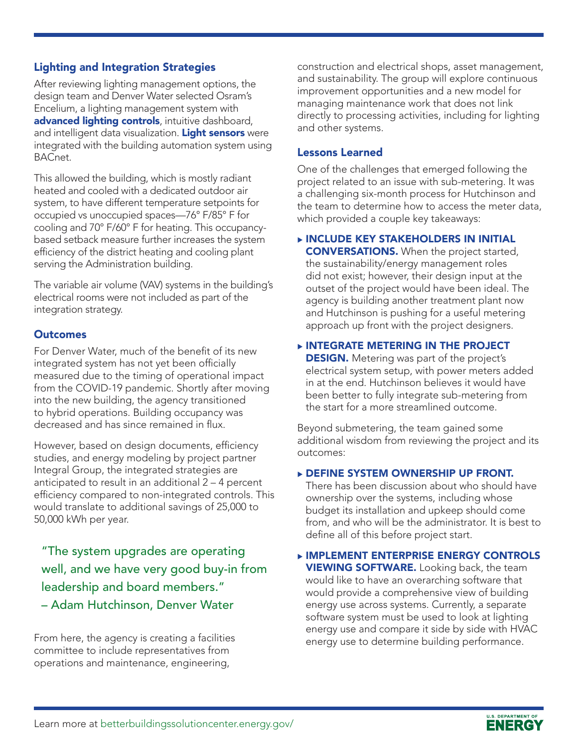## Lighting and Integration Strategies

After reviewing lighting management options, the design team and Denver Water selected Osram's Encelium, a lighting management system with advanced lighting controls, intuitive dashboard, and intelligent data visualization. Light sensors were integrated with the building automation system using BACnet.

This allowed the building, which is mostly radiant heated and cooled with a dedicated outdoor air system, to have different temperature setpoints for occupied vs unoccupied spaces—76° F/85° F for cooling and 70° F/60° F for heating. This occupancybased setback measure further increases the system efficiency of the district heating and cooling plant serving the Administration building.

The variable air volume (VAV) systems in the building's electrical rooms were not included as part of the integration strategy.

#### **Outcomes**

For Denver Water, much of the benefit of its new integrated system has not yet been officially measured due to the timing of operational impact from the COVID-19 pandemic. Shortly after moving into the new building, the agency transitioned to hybrid operations. Building occupancy was decreased and has since remained in flux.

However, based on design documents, efficiency studies, and energy modeling by project partner Integral Group, the integrated strategies are anticipated to result in an additional 2 – 4 percent efficiency compared to non-integrated controls. This would translate to additional savings of 25,000 to 50,000 kWh per year.

"The system upgrades are operating well, and we have very good buy-in from leadership and board members." – Adam Hutchinson, Denver Water

From here, the agency is creating a facilities committee to include representatives from operations and maintenance, engineering,

construction and electrical shops, asset management, and sustainability. The group will explore continuous improvement opportunities and a new model for managing maintenance work that does not link directly to processing activities, including for lighting and other systems.

#### Lessons Learned

One of the challenges that emerged following the project related to an issue with sub-metering. It was a challenging six-month process for Hutchinson and the team to determine how to access the meter data, which provided a couple key takeaways:

**EXPLOLENCE IN INCLUDE KEY STAKEHOLDERS IN INITIAL** CONVERSATIONS. When the project started, the sustainability/energy management roles did not exist; however, their design input at the outset of the project would have been ideal. The agency is building another treatment plant now and Hutchinson is pushing for a useful metering approach up front with the project designers.

#### $\triangleright$  INTEGRATE METERING IN THE PROJECT

**DESIGN.** Metering was part of the project's electrical system setup, with power meters added in at the end. Hutchinson believes it would have been better to fully integrate sub-metering from the start for a more streamlined outcome.

Beyond submetering, the team gained some additional wisdom from reviewing the project and its outcomes:

#### **DEFINE SYSTEM OWNERSHIP UP FRONT.**

There has been discussion about who should have ownership over the systems, including whose budget its installation and upkeep should come from, and who will be the administrator. It is best to define all of this before project start.

#### **EXPLEMENT ENTERPRISE ENERGY CONTROLS VIEWING SOFTWARE.** Looking back, the team would like to have an overarching software that would provide a comprehensive view of building energy use across systems. Currently, a separate software system must be used to look at lighting energy use and compare it side by side with HVAC energy use to determine building performance.